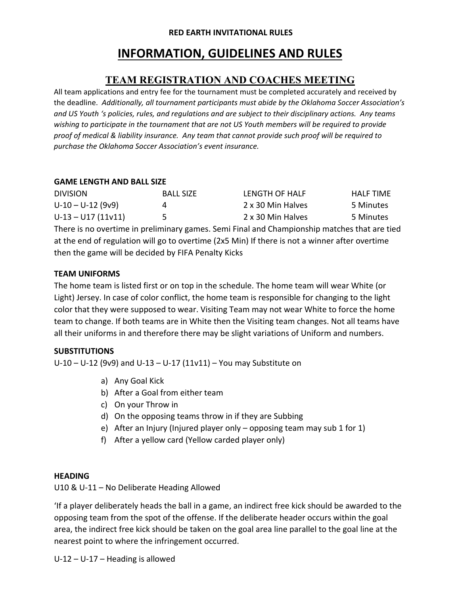#### **RED EARTH INVITATIONAL RULES**

# **INFORMATION, GUIDELINES AND RULES**

### **TEAM REGISTRATION AND COACHES MEETING**

All team applications and entry fee for the tournament must be completed accurately and received by the deadline. *Additionally, all tournament participants must abide by the Oklahoma Soccer Association's and US Youth 's policies, rules, and regulations and are subject to their disciplinary actions. Any teams wishing to participate in the tournament that are not US Youth members will be required to provide proof of medical & liability insurance. Any team that cannot provide such proof will be required to purchase the Oklahoma Soccer Association's event insurance.*

#### **GAME LENGTH AND BALL SIZE**

| <b>DIVISION</b>      | <b>BALL SIZE</b> | LENGTH OF HALF    | <b>HALF TIME</b> |
|----------------------|------------------|-------------------|------------------|
| $U-10-U-12$ (9v9)    |                  | 2 x 30 Min Halves | 5 Minutes        |
| $U-13 - U17 (11v11)$ |                  | 2 x 30 Min Halves | 5 Minutes        |

There is no overtime in preliminary games. Semi Final and Championship matches that are tied at the end of regulation will go to overtime (2x5 Min) If there is not a winner after overtime then the game will be decided by FIFA Penalty Kicks

#### **TEAM UNIFORMS**

The home team is listed first or on top in the schedule. The home team will wear White (or Light) Jersey. In case of color conflict, the home team is responsible for changing to the light color that they were supposed to wear. Visiting Team may not wear White to force the home team to change. If both teams are in White then the Visiting team changes. Not all teams have all their uniforms in and therefore there may be slight variations of Uniform and numbers.

#### **SUBSTITUTIONS**

U‐10 – U‐12 (9v9) and U‐13 – U‐17 (11v11) – You may Substitute on

- a) Any Goal Kick
- b) After a Goal from either team
- c) On your Throw in
- d) On the opposing teams throw in if they are Subbing
- e) After an Injury (Injured player only opposing team may sub 1 for 1)
- f) After a yellow card (Yellow carded player only)

#### **HEADING**

U10 & U‐11 – No Deliberate Heading Allowed

'If a player deliberately heads the ball in a game, an indirect free kick should be awarded to the opposing team from the spot of the offense. If the deliberate header occurs within the goal area, the indirect free kick should be taken on the goal area line parallel to the goal line at the nearest point to where the infringement occurred.

U‐12 – U‐17 – Heading is allowed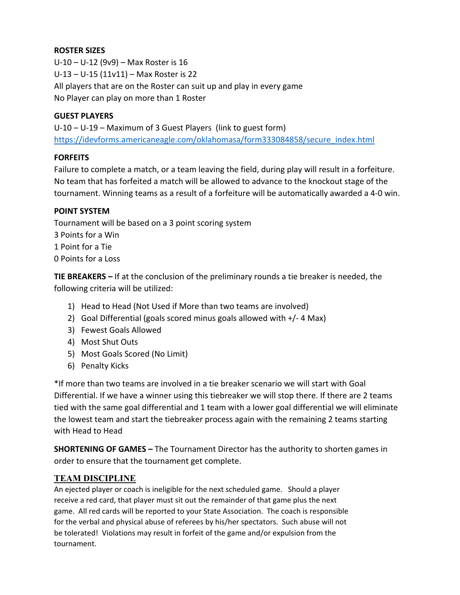#### **ROSTER SIZES**

U‐10 – U‐12 (9v9) – Max Roster is 16 U‐13 – U‐15 (11v11) – Max Roster is 22 All players that are on the Roster can suit up and play in every game No Player can play on more than 1 Roster

#### **GUEST PLAYERS**

U‐10 – U‐19 – Maximum of 3 Guest Players (link to guest form) https://idevforms.americaneagle.com/oklahomasa/form333084858/secure\_index.html

#### **FORFEITS**

Failure to complete a match, or a team leaving the field, during play will result in a forfeiture. No team that has forfeited a match will be allowed to advance to the knockout stage of the tournament. Winning teams as a result of a forfeiture will be automatically awarded a 4‐0 win.

#### **POINT SYSTEM**

Tournament will be based on a 3 point scoring system 3 Points for a Win 1 Point for a Tie 0 Points for a Loss

**TIE BREAKERS –** If at the conclusion of the preliminary rounds a tie breaker is needed, the following criteria will be utilized:

- 1) Head to Head (Not Used if More than two teams are involved)
- 2) Goal Differential (goals scored minus goals allowed with +/‐ 4 Max)
- 3) Fewest Goals Allowed
- 4) Most Shut Outs
- 5) Most Goals Scored (No Limit)
- 6) Penalty Kicks

\*If more than two teams are involved in a tie breaker scenario we will start with Goal Differential. If we have a winner using this tiebreaker we will stop there. If there are 2 teams tied with the same goal differential and 1 team with a lower goal differential we will eliminate the lowest team and start the tiebreaker process again with the remaining 2 teams starting with Head to Head

**SHORTENING OF GAMES –** The Tournament Director has the authority to shorten games in order to ensure that the tournament get complete.

#### **TEAM DISCIPLINE**

An ejected player or coach is ineligible for the next scheduled game. Should a player receive a red card, that player must sit out the remainder of that game plus the next game. All red cards will be reported to your State Association. The coach is responsible for the verbal and physical abuse of referees by his/her spectators. Such abuse will not be tolerated! Violations may result in forfeit of the game and/or expulsion from the tournament.